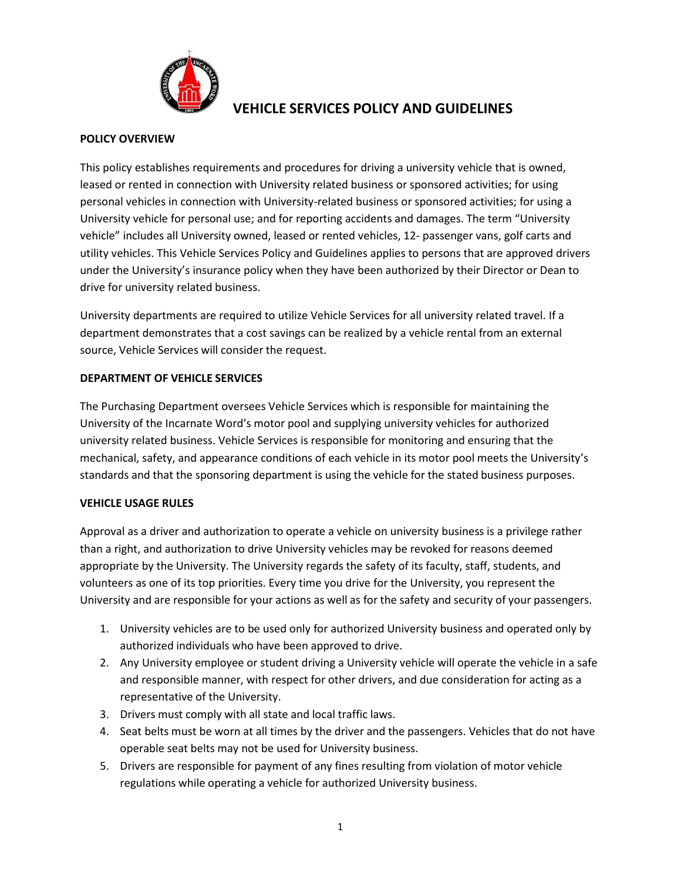

# **VEHICLE SERVICES POLICY AND GUIDELINES**

#### **POLICY OVERVIEW**

This policy establishes requirements and procedures for driving a university vehicle that is owned, leased or rented in connection with University related business or sponsored activities; for using personal vehicles in connection with University-related business or sponsored activities; for using a University vehicle for personal use; and for reporting accidents and damages. The term "University vehicle" includes all University owned, leased or rented vehicles, 12- passenger vans, golf carts and utility vehicles. This Vehicle Services Policy and Guidelines applies to persons that are approved drivers under the University's insurance policy when they have been authorized by their Director or Dean to drive for university related business.

University departments are required to utilize Vehicle Services for all university related travel. If a department demonstrates that a cost savings can be realized by a vehicle rental from an external source, Vehicle Services will consider the request.

#### **DEPARTMENT OF VEHICLE SERVICES**

The Purchasing Department oversees Vehicle Services which is responsible for maintaining the University of the Incarnate Word's motor pool and supplying university vehicles for authorized university related business. Vehicle Services is responsible for monitoring and ensuring that the mechanical, safety, and appearance conditions of each vehicle in its motor pool meets the University's standards and that the sponsoring department is using the vehicle for the stated business purposes.

#### **VEHICLE USAGE RULES**

Approval as a driver and authorization to operate a vehicle on university business is a privilege rather than a right, and authorization to drive University vehicles may be revoked for reasons deemed appropriate by the University. The University regards the safety of its faculty, staff, students, and volunteers as one of its top priorities. Every time you drive for the University, you represent the University and are responsible for your actions as well as for the safety and security of your passengers.

- 1. University vehicles are to be used only for authorized University business and operated only by authorized individuals who have been approved to drive.
- 2. Any University employee or student driving a University vehicle will operate the vehicle in a safe and responsible manner, with respect for other drivers, and due consideration for acting as a representative of the University.
- 3. Drivers must comply with all state and local traffic laws.
- 4. Seat belts must be worn at all times by the driver and the passengers. Vehicles that do not have operable seat belts may not be used for University business.
- 5. Drivers are responsible for payment of any fines resulting from violation of motor vehicle regulations while operating a vehicle for authorized University business.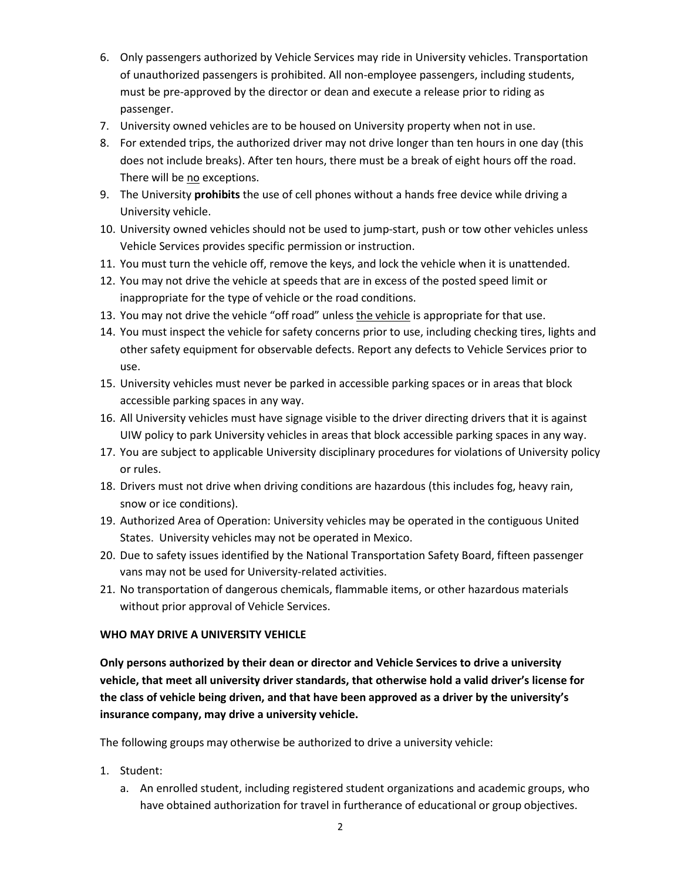- 6. Only passengers authorized by Vehicle Services may ride in University vehicles. Transportation of unauthorized passengers is prohibited. All non-employee passengers, including students, must be pre-approved by the director or dean and execute a release prior to riding as passenger.
- 7. University owned vehicles are to be housed on University property when not in use.
- 8. For extended trips, the authorized driver may not drive longer than ten hours in one day (this does not include breaks). After ten hours, there must be a break of eight hours off the road. There will be no exceptions.
- 9. The University **prohibits** the use of cell phones without a hands free device while driving a University vehicle.
- 10. University owned vehicles should not be used to jump-start, push or tow other vehicles unless Vehicle Services provides specific permission or instruction.
- 11. You must turn the vehicle off, remove the keys, and lock the vehicle when it is unattended.
- 12. You may not drive the vehicle at speeds that are in excess of the posted speed limit or inappropriate for the type of vehicle or the road conditions.
- 13. You may not drive the vehicle "off road" unless the vehicle is appropriate for that use.
- 14. You must inspect the vehicle for safety concerns prior to use, including checking tires, lights and other safety equipment for observable defects. Report any defects to Vehicle Services prior to use.
- 15. University vehicles must never be parked in accessible parking spaces or in areas that block accessible parking spaces in any way.
- 16. All University vehicles must have signage visible to the driver directing drivers that it is against UIW policy to park University vehicles in areas that block accessible parking spaces in any way.
- 17. You are subject to applicable University disciplinary procedures for violations of University policy or rules.
- 18. Drivers must not drive when driving conditions are hazardous (this includes fog, heavy rain, snow or ice conditions).
- 19. Authorized Area of Operation: University vehicles may be operated in the contiguous United States. University vehicles may not be operated in Mexico.
- 20. Due to safety issues identified by the National Transportation Safety Board, fifteen passenger vans may not be used for University-related activities.
- 21. No transportation of dangerous chemicals, flammable items, or other hazardous materials without prior approval of Vehicle Services.

#### **WHO MAY DRIVE A UNIVERSITY VEHICLE**

**Only persons authorized by their dean or director and Vehicle Services to drive a university vehicle, that meet all university driver standards, that otherwise hold a valid driver's license for the class of vehicle being driven, and that have been approved as a driver by the university's insurance company, may drive a university vehicle.**

The following groups may otherwise be authorized to drive a university vehicle:

- 1. Student:
	- a. An enrolled student, including registered student organizations and academic groups, who have obtained authorization for travel in furtherance of educational or group objectives.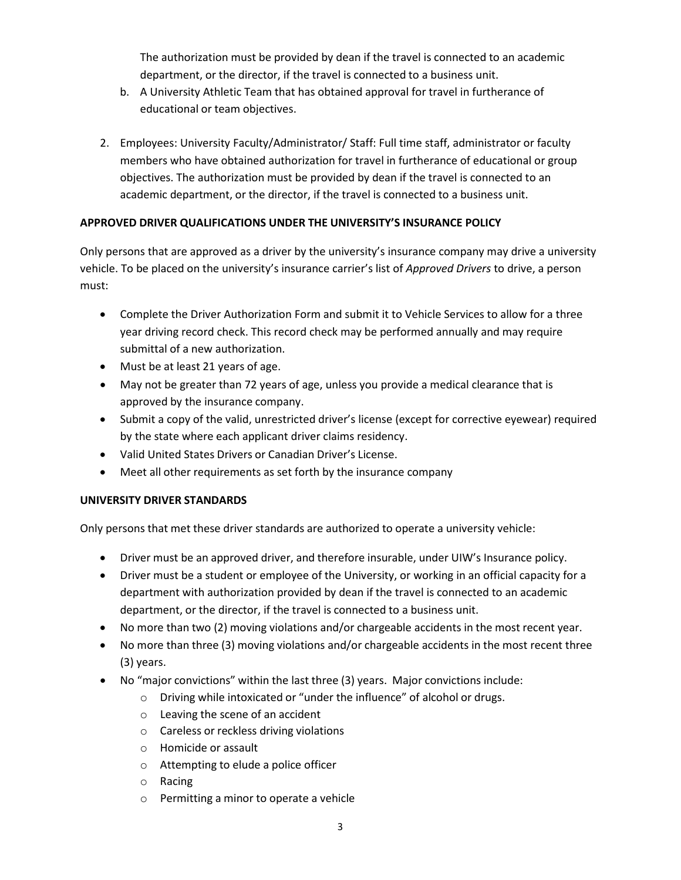The authorization must be provided by dean if the travel is connected to an academic department, or the director, if the travel is connected to a business unit.

- b. A University Athletic Team that has obtained approval for travel in furtherance of educational or team objectives.
- 2. Employees: University Faculty/Administrator/ Staff: Full time staff, administrator or faculty members who have obtained authorization for travel in furtherance of educational or group objectives. The authorization must be provided by dean if the travel is connected to an academic department, or the director, if the travel is connected to a business unit.

### **APPROVED DRIVER QUALIFICATIONS UNDER THE UNIVERSITY'S INSURANCE POLICY**

Only persons that are approved as a driver by the university's insurance company may drive a university vehicle. To be placed on the university's insurance carrier's list of *Approved Drivers* to drive, a person must:

- Complete the Driver Authorization Form and submit it to Vehicle Services to allow for a three year driving record check. This record check may be performed annually and may require submittal of a new authorization.
- Must be at least 21 years of age.
- May not be greater than 72 years of age, unless you provide a medical clearance that is approved by the insurance company.
- Submit a copy of the valid, unrestricted driver's license (except for corrective eyewear) required by the state where each applicant driver claims residency.
- Valid United States Drivers or Canadian Driver's License.
- Meet all other requirements as set forth by the insurance company

## **UNIVERSITY DRIVER STANDARDS**

Only persons that met these driver standards are authorized to operate a university vehicle:

- Driver must be an approved driver, and therefore insurable, under UIW's Insurance policy.
- Driver must be a student or employee of the University, or working in an official capacity for a department with authorization provided by dean if the travel is connected to an academic department, or the director, if the travel is connected to a business unit.
- No more than two (2) moving violations and/or chargeable accidents in the most recent year.
- No more than three (3) moving violations and/or chargeable accidents in the most recent three (3) years.
- No "major convictions" within the last three (3) years. Major convictions include:
	- o Driving while intoxicated or "under the influence" of alcohol or drugs.
	- o Leaving the scene of an accident
	- o Careless or reckless driving violations
	- o Homicide or assault
	- o Attempting to elude a police officer
	- o Racing
	- o Permitting a minor to operate a vehicle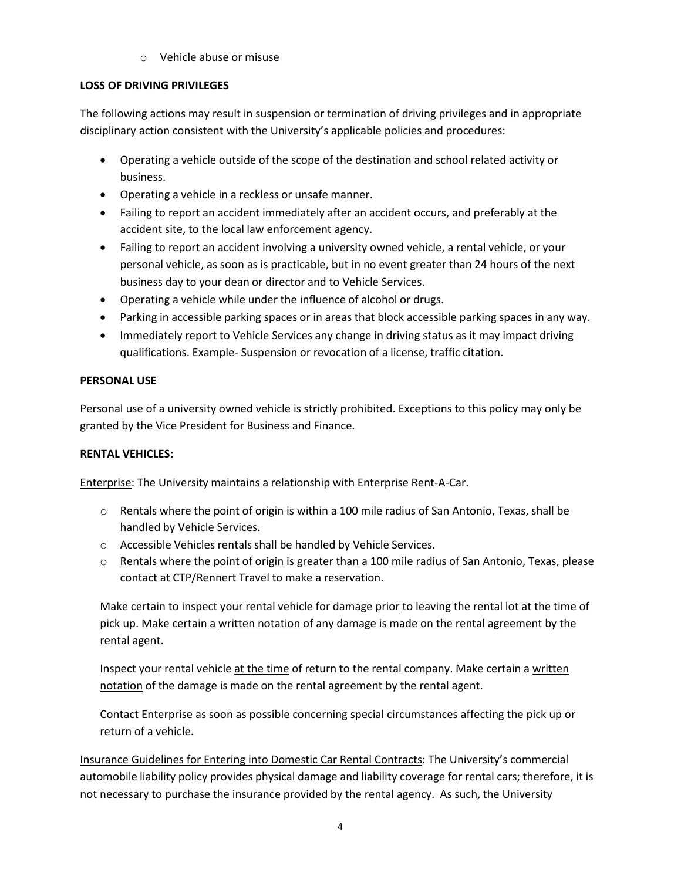o Vehicle abuse or misuse

### **LOSS OF DRIVING PRIVILEGES**

The following actions may result in suspension or termination of driving privileges and in appropriate disciplinary action consistent with the University's applicable policies and procedures:

- Operating a vehicle outside of the scope of the destination and school related activity or business.
- Operating a vehicle in a reckless or unsafe manner.
- Failing to report an accident immediately after an accident occurs, and preferably at the accident site, to the local law enforcement agency.
- Failing to report an accident involving a university owned vehicle, a rental vehicle, or your personal vehicle, as soon as is practicable, but in no event greater than 24 hours of the next business day to your dean or director and to Vehicle Services.
- Operating a vehicle while under the influence of alcohol or drugs.
- Parking in accessible parking spaces or in areas that block accessible parking spaces in any way.
- Immediately report to Vehicle Services any change in driving status as it may impact driving qualifications. Example- Suspension or revocation of a license, traffic citation.

### **PERSONAL USE**

Personal use of a university owned vehicle is strictly prohibited. Exceptions to this policy may only be granted by the Vice President for Business and Finance.

## **RENTAL VEHICLES:**

Enterprise: The University maintains a relationship with Enterprise Rent-A-Car.

- $\circ$  Rentals where the point of origin is within a 100 mile radius of San Antonio, Texas, shall be handled by Vehicle Services.
- o Accessible Vehicles rentals shall be handled by Vehicle Services.
- o Rentals where the point of origin is greater than a 100 mile radius of San Antonio, Texas, please contact at CTP/Rennert Travel to make a reservation.

Make certain to inspect your rental vehicle for damage prior to leaving the rental lot at the time of pick up. Make certain a written notation of any damage is made on the rental agreement by the rental agent.

Inspect your rental vehicle at the time of return to the rental company. Make certain a written notation of the damage is made on the rental agreement by the rental agent.

Contact Enterprise as soon as possible concerning special circumstances affecting the pick up or return of a vehicle.

Insurance Guidelines for Entering into Domestic Car Rental Contracts: The University's commercial automobile liability policy provides physical damage and liability coverage for rental cars; therefore, it is not necessary to purchase the insurance provided by the rental agency. As such, the University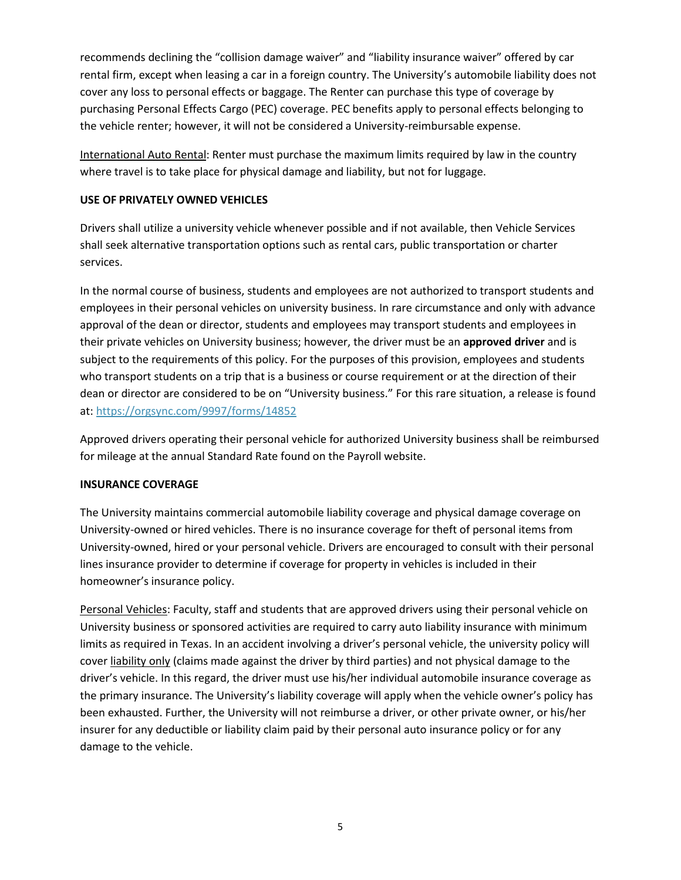recommends declining the "collision damage waiver" and "liability insurance waiver" offered by car rental firm, except when leasing a car in a foreign country. The University's automobile liability does not cover any loss to personal effects or baggage. The Renter can purchase this type of coverage by purchasing Personal Effects Cargo (PEC) coverage. PEC benefits apply to personal effects belonging to the vehicle renter; however, it will not be considered a University-reimbursable expense.

International Auto Rental: Renter must purchase the maximum limits required by law in the country where travel is to take place for physical damage and liability, but not for luggage.

#### **USE OF PRIVATELY OWNED VEHICLES**

Drivers shall utilize a university vehicle whenever possible and if not available, then Vehicle Services shall seek alternative transportation options such as rental cars, public transportation or charter services.

In the normal course of business, students and employees are not authorized to transport students and employees in their personal vehicles on university business. In rare circumstance and only with advance approval of the dean or director, students and employees may transport students and employees in their private vehicles on University business; however, the driver must be an **approved driver** and is subject to the requirements of this policy. For the purposes of this provision, employees and students who transport students on a trip that is a business or course requirement or at the direction of their dean or director are considered to be on "University business." For this rare situation, a release is found at:<https://orgsync.com/9997/forms/14852>

Approved drivers operating their personal vehicle for authorized University business shall be reimbursed for mileage at the annual Standard Rate found on the Payroll website.

#### **INSURANCE COVERAGE**

The University maintains commercial automobile liability coverage and physical damage coverage on University-owned or hired vehicles. There is no insurance coverage for theft of personal items from University-owned, hired or your personal vehicle. Drivers are encouraged to consult with their personal lines insurance provider to determine if coverage for property in vehicles is included in their homeowner's insurance policy.

Personal Vehicles: Faculty, staff and students that are approved drivers using their personal vehicle on University business or sponsored activities are required to carry auto liability insurance with minimum limits as required in Texas. In an accident involving a driver's personal vehicle, the university policy will cover liability only (claims made against the driver by third parties) and not physical damage to the driver's vehicle. In this regard, the driver must use his/her individual automobile insurance coverage as the primary insurance. The University's liability coverage will apply when the vehicle owner's policy has been exhausted. Further, the University will not reimburse a driver, or other private owner, or his/her insurer for any deductible or liability claim paid by their personal auto insurance policy or for any damage to the vehicle.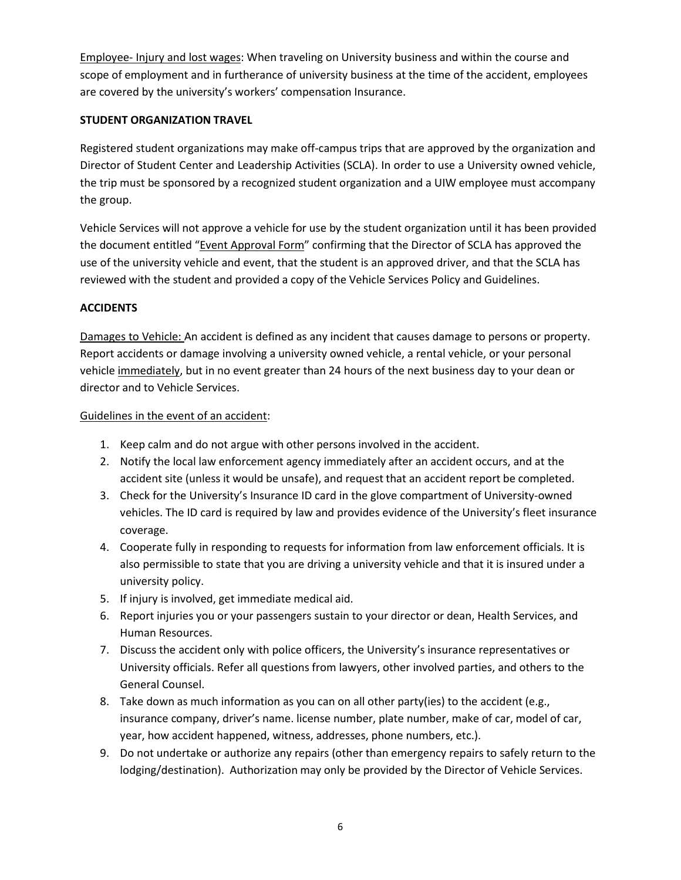Employee- Injury and lost wages: When traveling on University business and within the course and scope of employment and in furtherance of university business at the time of the accident, employees are covered by the university's workers' compensation Insurance.

#### **STUDENT ORGANIZATION TRAVEL**

Registered student organizations may make off-campus trips that are approved by the organization and Director of Student Center and Leadership Activities (SCLA). In order to use a University owned vehicle, the trip must be sponsored by a recognized student organization and a UIW employee must accompany the group.

Vehicle Services will not approve a vehicle for use by the student organization until it has been provided the document entitled "Event Approval Form" confirming that the Director of SCLA has approved the use of the university vehicle and event, that the student is an approved driver, and that the SCLA has reviewed with the student and provided a copy of the Vehicle Services Policy and Guidelines.

#### **ACCIDENTS**

Damages to Vehicle: An accident is defined as any incident that causes damage to persons or property. Report accidents or damage involving a university owned vehicle, a rental vehicle, or your personal vehicle immediately, but in no event greater than 24 hours of the next business day to your dean or director and to Vehicle Services.

#### Guidelines in the event of an accident:

- 1. Keep calm and do not argue with other persons involved in the accident.
- 2. Notify the local law enforcement agency immediately after an accident occurs, and at the accident site (unless it would be unsafe), and request that an accident report be completed.
- 3. Check for the University's Insurance ID card in the glove compartment of University-owned vehicles. The ID card is required by law and provides evidence of the University's fleet insurance coverage.
- 4. Cooperate fully in responding to requests for information from law enforcement officials. It is also permissible to state that you are driving a university vehicle and that it is insured under a university policy.
- 5. If injury is involved, get immediate medical aid.
- 6. Report injuries you or your passengers sustain to your director or dean, Health Services, and Human Resources.
- 7. Discuss the accident only with police officers, the University's insurance representatives or University officials. Refer all questions from lawyers, other involved parties, and others to the General Counsel.
- 8. Take down as much information as you can on all other party(ies) to the accident (e.g., insurance company, driver's name. license number, plate number, make of car, model of car, year, how accident happened, witness, addresses, phone numbers, etc.).
- 9. Do not undertake or authorize any repairs (other than emergency repairs to safely return to the lodging/destination). Authorization may only be provided by the Director of Vehicle Services.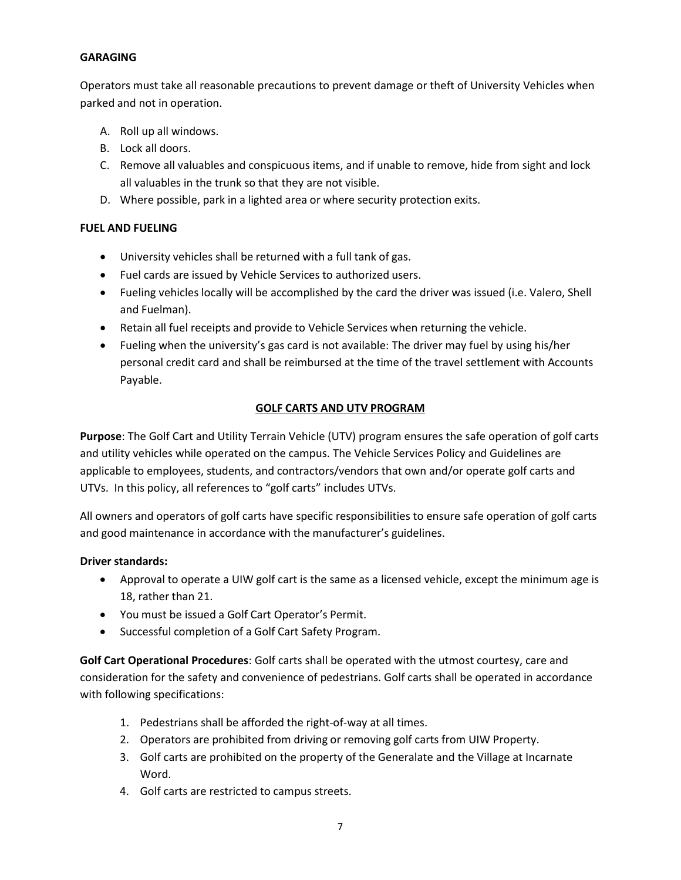#### **GARAGING**

Operators must take all reasonable precautions to prevent damage or theft of University Vehicles when parked and not in operation.

- A. Roll up all windows.
- B. Lock all doors.
- C. Remove all valuables and conspicuous items, and if unable to remove, hide from sight and lock all valuables in the trunk so that they are not visible.
- D. Where possible, park in a lighted area or where security protection exits.

#### **FUEL AND FUELING**

- University vehicles shall be returned with a full tank of gas.
- Fuel cards are issued by Vehicle Services to authorized users.
- Fueling vehicles locally will be accomplished by the card the driver was issued (i.e. Valero, Shell and Fuelman).
- Retain all fuel receipts and provide to Vehicle Services when returning the vehicle.
- Fueling when the university's gas card is not available: The driver may fuel by using his/her personal credit card and shall be reimbursed at the time of the travel settlement with Accounts Payable.

### **GOLF CARTS AND UTV PROGRAM**

**Purpose**: The Golf Cart and Utility Terrain Vehicle (UTV) program ensures the safe operation of golf carts and utility vehicles while operated on the campus. The Vehicle Services Policy and Guidelines are applicable to employees, students, and contractors/vendors that own and/or operate golf carts and UTVs. In this policy, all references to "golf carts" includes UTVs.

All owners and operators of golf carts have specific responsibilities to ensure safe operation of golf carts and good maintenance in accordance with the manufacturer's guidelines.

#### **Driver standards:**

- Approval to operate a UIW golf cart is the same as a licensed vehicle, except the minimum age is 18, rather than 21.
- You must be issued a Golf Cart Operator's Permit.
- Successful completion of a Golf Cart Safety Program.

**Golf Cart Operational Procedures**: Golf carts shall be operated with the utmost courtesy, care and consideration for the safety and convenience of pedestrians. Golf carts shall be operated in accordance with following specifications:

- 1. Pedestrians shall be afforded the right-of-way at all times.
- 2. Operators are prohibited from driving or removing golf carts from UIW Property.
- 3. Golf carts are prohibited on the property of the Generalate and the Village at Incarnate Word.
- 4. Golf carts are restricted to campus streets.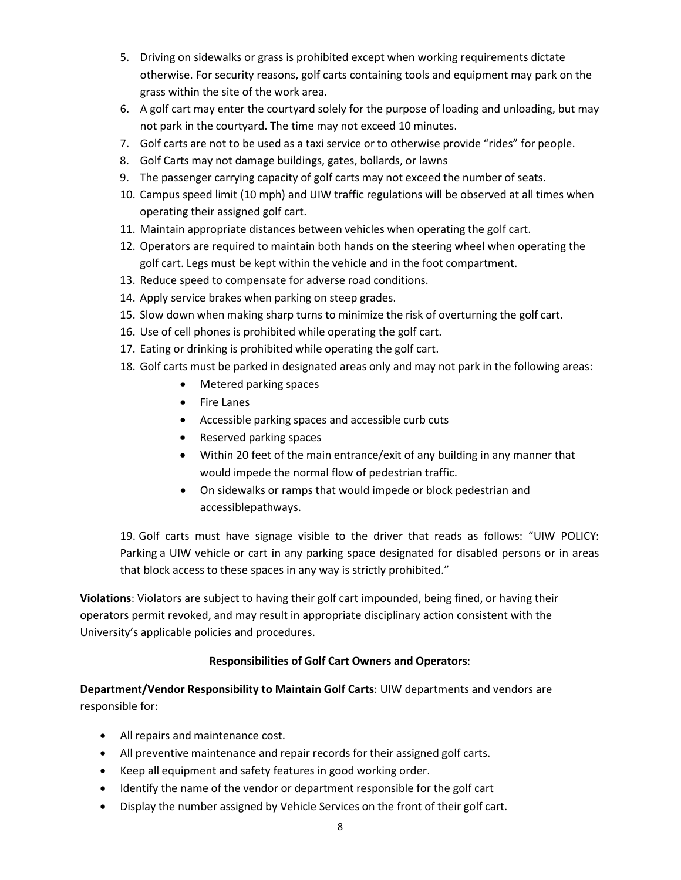- 5. Driving on sidewalks or grass is prohibited except when working requirements dictate otherwise. For security reasons, golf carts containing tools and equipment may park on the grass within the site of the work area.
- 6. A golf cart may enter the courtyard solely for the purpose of loading and unloading, but may not park in the courtyard. The time may not exceed 10 minutes.
- 7. Golf carts are not to be used as a taxi service or to otherwise provide "rides" for people.
- 8. Golf Carts may not damage buildings, gates, bollards, or lawns
- 9. The passenger carrying capacity of golf carts may not exceed the number of seats.
- 10. Campus speed limit (10 mph) and UIW traffic regulations will be observed at all times when operating their assigned golf cart.
- 11. Maintain appropriate distances between vehicles when operating the golf cart.
- 12. Operators are required to maintain both hands on the steering wheel when operating the golf cart. Legs must be kept within the vehicle and in the foot compartment.
- 13. Reduce speed to compensate for adverse road conditions.
- 14. Apply service brakes when parking on steep grades.
- 15. Slow down when making sharp turns to minimize the risk of overturning the golf cart.
- 16. Use of cell phones is prohibited while operating the golf cart.
- 17. Eating or drinking is prohibited while operating the golf cart.
- 18. Golf carts must be parked in designated areas only and may not park in the following areas:
	- Metered parking spaces
	- Fire Lanes
	- Accessible parking spaces and accessible curb cuts
	- Reserved parking spaces
	- Within 20 feet of the main entrance/exit of any building in any manner that would impede the normal flow of pedestrian traffic.
	- On sidewalks or ramps that would impede or block pedestrian and accessiblepathways.

19. Golf carts must have signage visible to the driver that reads as follows: "UIW POLICY: Parking a UIW vehicle or cart in any parking space designated for disabled persons or in areas that block access to these spaces in any way is strictly prohibited."

**Violations**: Violators are subject to having their golf cart impounded, being fined, or having their operators permit revoked, and may result in appropriate disciplinary action consistent with the University's applicable policies and procedures.

### **Responsibilities of Golf Cart Owners and Operators**:

**Department/Vendor Responsibility to Maintain Golf Carts**: UIW departments and vendors are responsible for:

- All repairs and maintenance cost.
- All preventive maintenance and repair records for their assigned golf carts.
- Keep all equipment and safety features in good working order.
- Identify the name of the vendor or department responsible for the golf cart
- Display the number assigned by Vehicle Services on the front of their golf cart.